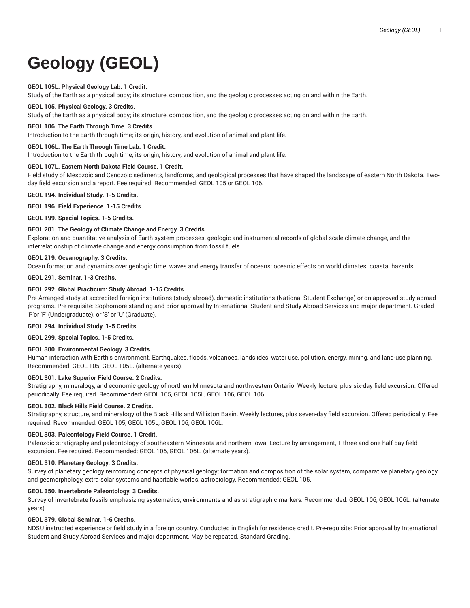# **Geology (GEOL)**

# **GEOL 105L. Physical Geology Lab. 1 Credit.**

Study of the Earth as a physical body; its structure, composition, and the geologic processes acting on and within the Earth.

## **GEOL 105. Physical Geology. 3 Credits.**

Study of the Earth as a physical body; its structure, composition, and the geologic processes acting on and within the Earth.

## **GEOL 106. The Earth Through Time. 3 Credits.**

Introduction to the Earth through time; its origin, history, and evolution of animal and plant life.

## **GEOL 106L. The Earth Through Time Lab. 1 Credit.**

Introduction to the Earth through time; its origin, history, and evolution of animal and plant life.

## **GEOL 107L. Eastern North Dakota Field Course. 1 Credit.**

Field study of Mesozoic and Cenozoic sediments, landforms, and geological processes that have shaped the landscape of eastern North Dakota. Twoday field excursion and a report. Fee required. Recommended: GEOL 105 or GEOL 106.

#### **GEOL 194. Individual Study. 1-5 Credits.**

**GEOL 196. Field Experience. 1-15 Credits.**

**GEOL 199. Special Topics. 1-5 Credits.**

## **GEOL 201. The Geology of Climate Change and Energy. 3 Credits.**

Exploration and quantitative analysis of Earth system processes, geologic and instrumental records of global-scale climate change, and the interrelationship of climate change and energy consumption from fossil fuels.

## **GEOL 219. Oceanography. 3 Credits.**

Ocean formation and dynamics over geologic time; waves and energy transfer of oceans; oceanic effects on world climates; coastal hazards.

# **GEOL 291. Seminar. 1-3 Credits.**

## **GEOL 292. Global Practicum: Study Abroad. 1-15 Credits.**

Pre-Arranged study at accredited foreign institutions (study abroad), domestic institutions (National Student Exchange) or on approved study abroad programs. Pre-requisite: Sophomore standing and prior approval by International Student and Study Abroad Services and major department. Graded 'P'or 'F' (Undergraduate), or 'S' or 'U' (Graduate).

#### **GEOL 294. Individual Study. 1-5 Credits.**

**GEOL 299. Special Topics. 1-5 Credits.**

#### **GEOL 300. Environmental Geology. 3 Credits.**

Human interaction with Earth's environment. Earthquakes, floods, volcanoes, landslides, water use, pollution, energy, mining, and land-use planning. Recommended: GEOL 105, GEOL 105L. (alternate years).

#### **GEOL 301. Lake Superior Field Course. 2 Credits.**

Stratigraphy, mineralogy, and economic geology of northern Minnesota and northwestern Ontario. Weekly lecture, plus six-day field excursion. Offered periodically. Fee required. Recommended: GEOL 105, GEOL 105L, GEOL 106, GEOL 106L.

## **GEOL 302. Black Hills Field Course. 2 Credits.**

Stratigraphy, structure, and mineralogy of the Black Hills and Williston Basin. Weekly lectures, plus seven-day field excursion. Offered periodically. Fee required. Recommended: GEOL 105, GEOL 105L, GEOL 106, GEOL 106L.

#### **GEOL 303. Paleontology Field Course. 1 Credit.**

Paleozoic stratigraphy and paleontology of southeastern Minnesota and northern Iowa. Lecture by arrangement, 1 three and one-half day field excursion. Fee required. Recommended: GEOL 106, GEOL 106L. (alternate years).

#### **GEOL 310. Planetary Geology. 3 Credits.**

Survey of planetary geology reinforcing concepts of physical geology; formation and composition of the solar system, comparative planetary geology and geomorphology, extra-solar systems and habitable worlds, astrobiology. Recommended: GEOL 105.

#### **GEOL 350. Invertebrate Paleontology. 3 Credits.**

Survey of invertebrate fossils emphasizing systematics, environments and as stratigraphic markers. Recommended: GEOL 106, GEOL 106L. (alternate years).

# **GEOL 379. Global Seminar. 1-6 Credits.**

NDSU instructed experience or field study in a foreign country. Conducted in English for residence credit. Pre-requisite: Prior approval by International Student and Study Abroad Services and major department. May be repeated. Standard Grading.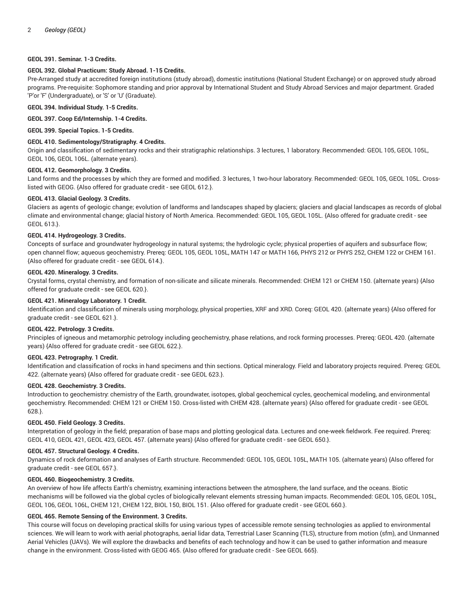## **GEOL 391. Seminar. 1-3 Credits.**

## **GEOL 392. Global Practicum: Study Abroad. 1-15 Credits.**

Pre-Arranged study at accredited foreign institutions (study abroad), domestic institutions (National Student Exchange) or on approved study abroad programs. Pre-requisite: Sophomore standing and prior approval by International Student and Study Abroad Services and major department. Graded 'P'or 'F' (Undergraduate), or 'S' or 'U' (Graduate).

## **GEOL 394. Individual Study. 1-5 Credits.**

#### **GEOL 397. Coop Ed/Internship. 1-4 Credits.**

**GEOL 399. Special Topics. 1-5 Credits.**

## **GEOL 410. Sedimentology/Stratigraphy. 4 Credits.**

Origin and classification of sedimentary rocks and their stratigraphic relationships. 3 lectures, 1 laboratory. Recommended: GEOL 105, GEOL 105L, GEOL 106, GEOL 106L. (alternate years).

## **GEOL 412. Geomorphology. 3 Credits.**

Land forms and the processes by which they are formed and modified. 3 lectures, 1 two-hour laboratory. Recommended: GEOL 105, GEOL 105L. Crosslisted with GEOG. {Also offered for graduate credit - see GEOL 612.}.

## **GEOL 413. Glacial Geology. 3 Credits.**

Glaciers as agents of geologic change; evolution of landforms and landscapes shaped by glaciers; glaciers and glacial landscapes as records of global climate and environmental change; glacial history of North America. Recommended: GEOL 105, GEOL 105L. {Also offered for graduate credit - see GEOL 613.}.

# **GEOL 414. Hydrogeology. 3 Credits.**

Concepts of surface and groundwater hydrogeology in natural systems; the hydrologic cycle; physical properties of aquifers and subsurface flow; open channel flow; aqueous geochemistry. Prereq: GEOL 105, GEOL 105L, MATH 147 or MATH 166, PHYS 212 or PHYS 252, CHEM 122 or CHEM 161. {Also offered for graduate credit - see GEOL 614.}.

## **GEOL 420. Mineralogy. 3 Credits.**

Crystal forms, crystal chemistry, and formation of non-silicate and silicate minerals. Recommended: CHEM 121 or CHEM 150. (alternate years) {Also offered for graduate credit - see GEOL 620.}.

## **GEOL 421. Mineralogy Laboratory. 1 Credit.**

Identification and classification of minerals using morphology, physical properties, XRF and XRD. Coreq: GEOL 420. (alternate years) {Also offered for graduate credit - see GEOL 621.}.

#### **GEOL 422. Petrology. 3 Credits.**

Principles of igneous and metamorphic petrology including geochemistry, phase relations, and rock forming processes. Prereq: GEOL 420. (alternate years) {Also offered for graduate credit - see GEOL 622.}.

## **GEOL 423. Petrography. 1 Credit.**

Identification and classification of rocks in hand specimens and thin sections. Optical mineralogy. Field and laboratory projects required. Prereq: GEOL 422. (alternate years) {Also offered for graduate credit - see GEOL 623.}.

#### **GEOL 428. Geochemistry. 3 Credits.**

Introduction to geochemistry: chemistry of the Earth, groundwater, isotopes, global geochemical cycles, geochemical modeling, and environmental geochemistry. Recommended: CHEM 121 or CHEM 150. Cross-listed with CHEM 428. (alternate years) {Also offered for graduate credit - see GEOL 628.}.

## **GEOL 450. Field Geology. 3 Credits.**

Interpretation of geology in the field; preparation of base maps and plotting geological data. Lectures and one-week fieldwork. Fee required. Prereq: GEOL 410, GEOL 421, GEOL 423, GEOL 457. (alternate years) {Also offered for graduate credit - see GEOL 650.}.

## **GEOL 457. Structural Geology. 4 Credits.**

Dynamics of rock deformation and analyses of Earth structure. Recommended: GEOL 105, GEOL 105L, MATH 105. (alternate years) {Also offered for graduate credit - see GEOL 657.}.

#### **GEOL 460. Biogeochemistry. 3 Credits.**

An overview of how life affects Earth's chemistry, examining interactions between the atmosphere, the land surface, and the oceans. Biotic mechanisms will be followed via the global cycles of biologically relevant elements stressing human impacts. Recommended: GEOL 105, GEOL 105L, GEOL 106, GEOL 106L, CHEM 121, CHEM 122, BIOL 150, BIOL 151. {Also offered for graduate credit - see GEOL 660.}.

## **GEOL 465. Remote Sensing of the Environment. 3 Credits.**

This course will focus on developing practical skills for using various types of accessible remote sensing technologies as applied to environmental sciences. We will learn to work with aerial photographs, aerial lidar data, Terrestrial Laser Scanning (TLS), structure from motion (sfm), and Unmanned Aerial Vehicles (UAVs). We will explore the drawbacks and benefits of each technology and how it can be used to gather information and measure change in the environment. Cross-listed with GEOG 465. {Also offered for graduate credit - See GEOL 665}.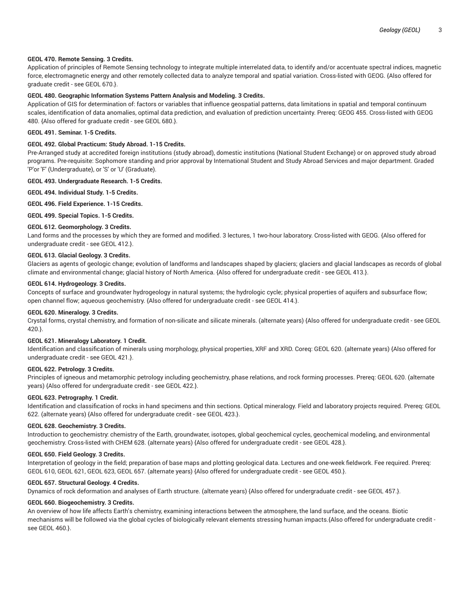## **GEOL 470. Remote Sensing. 3 Credits.**

Application of principles of Remote Sensing technology to integrate multiple interrelated data, to identify and/or accentuate spectral indices, magnetic force, electromagnetic energy and other remotely collected data to analyze temporal and spatial variation. Cross-listed with GEOG. {Also offered for graduate credit - see GEOL 670.}.

#### **GEOL 480. Geographic Information Systems Pattern Analysis and Modeling. 3 Credits.**

Application of GIS for determination of: factors or variables that influence geospatial patterns, data limitations in spatial and temporal continuum scales, identification of data anomalies, optimal data prediction, and evaluation of prediction uncertainty. Prereq: GEOG 455. Cross-listed with GEOG 480. {Also offered for graduate credit - see GEOL 680.}.

## **GEOL 491. Seminar. 1-5 Credits.**

## **GEOL 492. Global Practicum: Study Abroad. 1-15 Credits.**

Pre-Arranged study at accredited foreign institutions (study abroad), domestic institutions (National Student Exchange) or on approved study abroad programs. Pre-requisite: Sophomore standing and prior approval by International Student and Study Abroad Services and major department. Graded 'P'or 'F' (Undergraduate), or 'S' or 'U' (Graduate).

#### **GEOL 493. Undergraduate Research. 1-5 Credits.**

**GEOL 494. Individual Study. 1-5 Credits.**

**GEOL 496. Field Experience. 1-15 Credits.**

**GEOL 499. Special Topics. 1-5 Credits.**

# **GEOL 612. Geomorphology. 3 Credits.**

Land forms and the processes by which they are formed and modified. 3 lectures, 1 two-hour laboratory. Cross-listed with GEOG. {Also offered for undergraduate credit - see GEOL 412.}.

## **GEOL 613. Glacial Geology. 3 Credits.**

Glaciers as agents of geologic change; evolution of landforms and landscapes shaped by glaciers; glaciers and glacial landscapes as records of global climate and environmental change; glacial history of North America. {Also offered for undergraduate credit - see GEOL 413.}.

## **GEOL 614. Hydrogeology. 3 Credits.**

Concepts of surface and groundwater hydrogeology in natural systems; the hydrologic cycle; physical properties of aquifers and subsurface flow; open channel flow; aqueous geochemistry. {Also offered for undergraduate credit - see GEOL 414.}.

## **GEOL 620. Mineralogy. 3 Credits.**

Crystal forms, crystal chemistry, and formation of non-silicate and silicate minerals. (alternate years) {Also offered for undergraduate credit - see GEOL 420.}.

#### **GEOL 621. Mineralogy Laboratory. 1 Credit.**

Identification and classification of minerals using morphology, physical properties, XRF and XRD. Coreq: GEOL 620. (alternate years) {Also offered for undergraduate credit - see GEOL 421.}.

#### **GEOL 622. Petrology. 3 Credits.**

Principles of igneous and metamorphic petrology including geochemistry, phase relations, and rock forming processes. Prereq: GEOL 620. (alternate years) {Also offered for undergraduate credit - see GEOL 422.}.

## **GEOL 623. Petrography. 1 Credit.**

Identification and classification of rocks in hand specimens and thin sections. Optical mineralogy. Field and laboratory projects required. Prereq: GEOL 622. (alternate years) {Also offered for undergraduate credit - see GEOL 423.}.

## **GEOL 628. Geochemistry. 3 Credits.**

Introduction to geochemistry: chemistry of the Earth, groundwater, isotopes, global geochemical cycles, geochemical modeling, and environmental geochemistry. Cross-listed with CHEM 628. (alternate years) {Also offered for undergraduate credit - see GEOL 428.}.

## **GEOL 650. Field Geology. 3 Credits.**

Interpretation of geology in the field; preparation of base maps and plotting geological data. Lectures and one-week fieldwork. Fee required. Prereq: GEOL 610, GEOL 621, GEOL 623, GEOL 657. (alternate years) {Also offered for undergraduate credit - see GEOL 450.}.

## **GEOL 657. Structural Geology. 4 Credits.**

Dynamics of rock deformation and analyses of Earth structure. (alternate years) {Also offered for undergraduate credit - see GEOL 457.}.

# **GEOL 660. Biogeochemistry. 3 Credits.**

An overview of how life affects Earth's chemistry, examining interactions between the atmosphere, the land surface, and the oceans. Biotic mechanisms will be followed via the global cycles of biologically relevant elements stressing human impacts.{Also offered for undergraduate credit see GEOL 460.}.